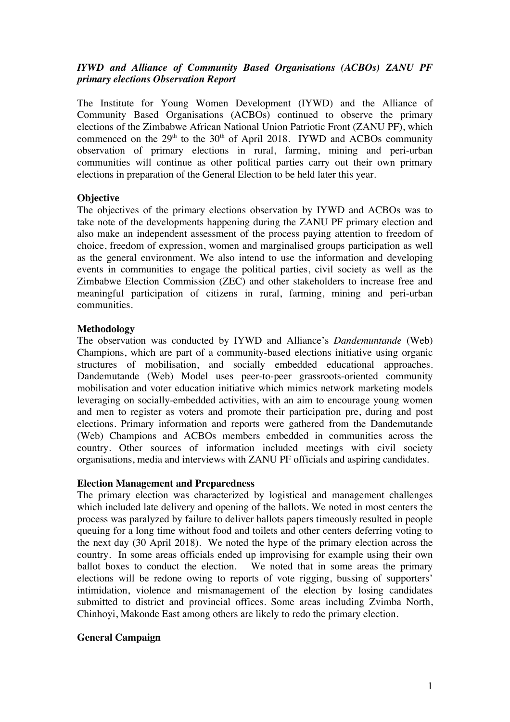# *IYWD and Alliance of Community Based Organisations (ACBOs) ZANU PF primary elections Observation Report*

The Institute for Young Women Development (IYWD) and the Alliance of Community Based Organisations (ACBOs) continued to observe the primary elections of the Zimbabwe African National Union Patriotic Front (ZANU PF), which commenced on the  $29<sup>th</sup>$  to the  $30<sup>th</sup>$  of April 2018. IYWD and ACBOs community observation of primary elections in rural, farming, mining and peri-urban communities will continue as other political parties carry out their own primary elections in preparation of the General Election to be held later this year.

## **Objective**

The objectives of the primary elections observation by IYWD and ACBOs was to take note of the developments happening during the ZANU PF primary election and also make an independent assessment of the process paying attention to freedom of choice, freedom of expression, women and marginalised groups participation as well as the general environment. We also intend to use the information and developing events in communities to engage the political parties, civil society as well as the Zimbabwe Election Commission (ZEC) and other stakeholders to increase free and meaningful participation of citizens in rural, farming, mining and peri-urban communities.

## **Methodology**

The observation was conducted by IYWD and Alliance's *Dandemuntande* (Web) Champions, which are part of a community-based elections initiative using organic structures of mobilisation, and socially embedded educational approaches. Dandemutande (Web) Model uses peer-to-peer grassroots-oriented community mobilisation and voter education initiative which mimics network marketing models leveraging on socially-embedded activities, with an aim to encourage young women and men to register as voters and promote their participation pre, during and post elections. Primary information and reports were gathered from the Dandemutande (Web) Champions and ACBOs members embedded in communities across the country. Other sources of information included meetings with civil society organisations, media and interviews with ZANU PF officials and aspiring candidates.

## **Election Management and Preparedness**

The primary election was characterized by logistical and management challenges which included late delivery and opening of the ballots. We noted in most centers the process was paralyzed by failure to deliver ballots papers timeously resulted in people queuing for a long time without food and toilets and other centers deferring voting to the next day (30 April 2018). We noted the hype of the primary election across the country. In some areas officials ended up improvising for example using their own ballot boxes to conduct the election. We noted that in some areas the primary elections will be redone owing to reports of vote rigging, bussing of supporters' intimidation, violence and mismanagement of the election by losing candidates submitted to district and provincial offices. Some areas including Zvimba North, Chinhoyi, Makonde East among others are likely to redo the primary election.

## **General Campaign**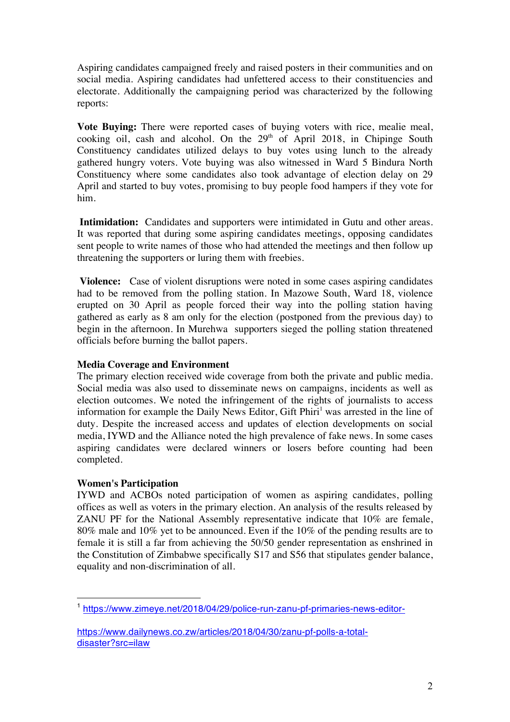Aspiring candidates campaigned freely and raised posters in their communities and on social media. Aspiring candidates had unfettered access to their constituencies and electorate. Additionally the campaigning period was characterized by the following reports:

**Vote Buying:** There were reported cases of buying voters with rice, mealie meal, cooking oil, cash and alcohol. On the  $29<sup>th</sup>$  of April 2018, in Chipinge South Constituency candidates utilized delays to buy votes using lunch to the already gathered hungry voters. Vote buying was also witnessed in Ward 5 Bindura North Constituency where some candidates also took advantage of election delay on 29 April and started to buy votes, promising to buy people food hampers if they vote for him.

**Intimidation:** Candidates and supporters were intimidated in Gutu and other areas. It was reported that during some aspiring candidates meetings, opposing candidates sent people to write names of those who had attended the meetings and then follow up threatening the supporters or luring them with freebies.

**Violence:** Case of violent disruptions were noted in some cases aspiring candidates had to be removed from the polling station. In Mazowe South, Ward 18, violence erupted on 30 April as people forced their way into the polling station having gathered as early as 8 am only for the election (postponed from the previous day) to begin in the afternoon. In Murehwa supporters sieged the polling station threatened officials before burning the ballot papers.

# **Media Coverage and Environment**

The primary election received wide coverage from both the private and public media. Social media was also used to disseminate news on campaigns, incidents as well as election outcomes. We noted the infringement of the rights of journalists to access information for example the Daily News Editor, Gift  $\text{Phiri}^1$  was arrested in the line of duty. Despite the increased access and updates of election developments on social media, IYWD and the Alliance noted the high prevalence of fake news. In some cases aspiring candidates were declared winners or losers before counting had been completed.

# **Women's Participation**

l.

IYWD and ACBOs noted participation of women as aspiring candidates, polling offices as well as voters in the primary election. An analysis of the results released by ZANU PF for the National Assembly representative indicate that 10% are female, 80% male and 10% yet to be announced. Even if the 10% of the pending results are to female it is still a far from achieving the 50/50 gender representation as enshrined in the Constitution of Zimbabwe specifically S17 and S56 that stipulates gender balance, equality and non-discrimination of all.

<sup>&</sup>lt;sup>1</sup> https://www.zimeye.net/2018/04/29/police-run-zanu-pf-primaries-news-editor-

https://www.dailynews.co.zw/articles/2018/04/30/zanu-pf-polls-a-totaldisaster?src=ilaw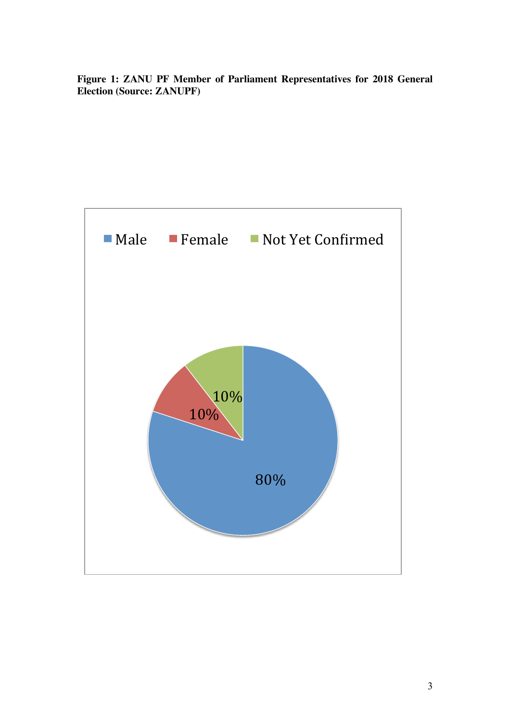**Figure 1: ZANU PF Member of Parliament Representatives for 2018 General Election (Source: ZANUPF)**

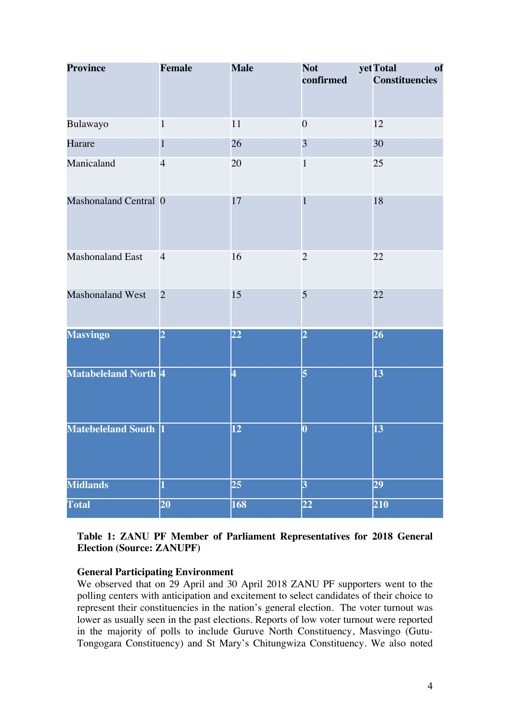| <b>Province</b>         | <b>Female</b>  | <b>Male</b>             | <b>Not</b><br>confirmed | yet Total<br>of<br><b>Constituencies</b> |
|-------------------------|----------------|-------------------------|-------------------------|------------------------------------------|
| Bulawayo                | $\mathbf{1}$   | 11                      | $\boldsymbol{0}$        | 12                                       |
| Harare                  | $\mathbf{1}$   | 26                      | 3                       | 30                                       |
| Manicaland              | $\overline{4}$ | 20                      | $\mathbf{1}$            | 25                                       |
| Mashonaland Central 0   |                | 17                      | 1                       | 18                                       |
| <b>Mashonaland East</b> | $\overline{4}$ | 16                      | $\overline{2}$          | 22                                       |
| Mashonaland West        | $\overline{2}$ | 15                      | 5                       | 22                                       |
| <b>Masvingo</b>         | $\overline{2}$ | $\overline{22}$         | $\overline{2}$          | 26                                       |
| Matabeleland North 4    |                | $\overline{\mathbf{4}}$ | 5                       | 13                                       |
| Matebeleland South 1    |                | 12                      | $\overline{\mathbf{0}}$ | $\vert 13 \vert$                         |
| <b>Midlands</b>         | $\mathbf{1}$   | 25                      | $\overline{3}$          | 29                                       |
| <b>Total</b>            | 20             | 168                     | $\overline{22}$         | 210                                      |

## **Table 1: ZANU PF Member of Parliament Representatives for 2018 General Election (Source: ZANUPF)**

# **General Participating Environment**

We observed that on 29 April and 30 April 2018 ZANU PF supporters went to the polling centers with anticipation and excitement to select candidates of their choice to represent their constituencies in the nation's general election. The voter turnout was lower as usually seen in the past elections. Reports of low voter turnout were reported in the majority of polls to include Guruve North Constituency, Masvingo (Gutu-Tongogara Constituency) and St Mary's Chitungwiza Constituency. We also noted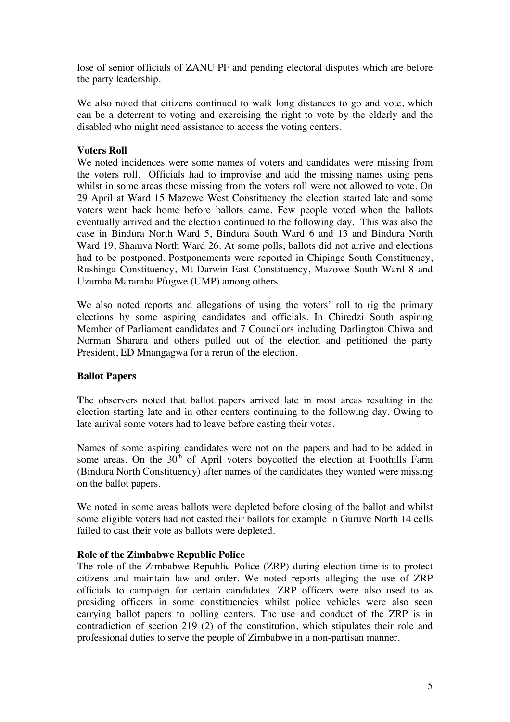lose of senior officials of ZANU PF and pending electoral disputes which are before the party leadership.

We also noted that citizens continued to walk long distances to go and vote, which can be a deterrent to voting and exercising the right to vote by the elderly and the disabled who might need assistance to access the voting centers.

## **Voters Roll**

We noted incidences were some names of voters and candidates were missing from the voters roll. Officials had to improvise and add the missing names using pens whilst in some areas those missing from the voters roll were not allowed to vote. On 29 April at Ward 15 Mazowe West Constituency the election started late and some voters went back home before ballots came. Few people voted when the ballots eventually arrived and the election continued to the following day. This was also the case in Bindura North Ward 5, Bindura South Ward 6 and 13 and Bindura North Ward 19, Shamva North Ward 26. At some polls, ballots did not arrive and elections had to be postponed. Postponements were reported in Chipinge South Constituency, Rushinga Constituency, Mt Darwin East Constituency, Mazowe South Ward 8 and Uzumba Maramba Pfugwe (UMP) among others.

We also noted reports and allegations of using the voters' roll to rig the primary elections by some aspiring candidates and officials. In Chiredzi South aspiring Member of Parliament candidates and 7 Councilors including Darlington Chiwa and Norman Sharara and others pulled out of the election and petitioned the party President, ED Mnangagwa for a rerun of the election.

## **Ballot Papers**

**T**he observers noted that ballot papers arrived late in most areas resulting in the election starting late and in other centers continuing to the following day. Owing to late arrival some voters had to leave before casting their votes.

Names of some aspiring candidates were not on the papers and had to be added in some areas. On the  $30<sup>th</sup>$  of April voters boycotted the election at Foothills Farm (Bindura North Constituency) after names of the candidates they wanted were missing on the ballot papers.

We noted in some areas ballots were depleted before closing of the ballot and whilst some eligible voters had not casted their ballots for example in Guruve North 14 cells failed to cast their vote as ballots were depleted.

## **Role of the Zimbabwe Republic Police**

The role of the Zimbabwe Republic Police (ZRP) during election time is to protect citizens and maintain law and order. We noted reports alleging the use of ZRP officials to campaign for certain candidates. ZRP officers were also used to as presiding officers in some constituencies whilst police vehicles were also seen carrying ballot papers to polling centers. The use and conduct of the ZRP is in contradiction of section 219 (2) of the constitution, which stipulates their role and professional duties to serve the people of Zimbabwe in a non-partisan manner.